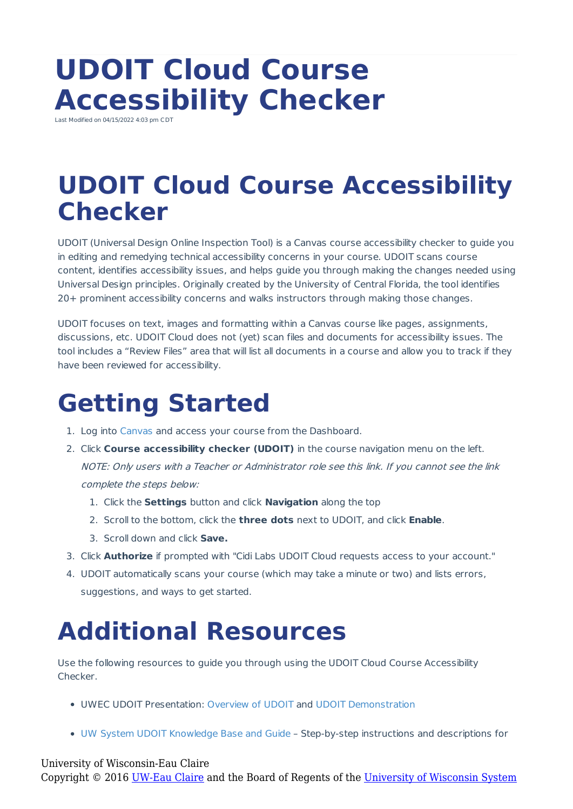## **UDOIT Cloud Course Accessibility Checker**

Last Modified on 04/15/2022 4:03 pm CDT

## **UDOIT Cloud Course Accessibility Checker**

UDOIT (Universal Design Online Inspection Tool) is a Canvas course accessibility checker to guide you in editing and remedying technical accessibility concerns in your course. UDOIT scans course content, identifies accessibility issues, and helps guide you through making the changes needed using Universal Design principles. Originally created by the University of Central Florida, the tool identifies 20+ prominent accessibility concerns and walks instructors through making those changes.

UDOIT focuses on text, images and formatting within a Canvas course like pages, assignments, discussions, etc. UDOIT Cloud does not (yet) scan files and documents for accessibility issues. The tool includes a "Review Files" area that will list all documents in a course and allow you to track if they have been reviewed for accessibility.

## **Getting Started**

- 1. Log into Canvas and access your course from the Dashboard.
- 2. Click **Course accessibility checker (UDOIT)** in the course navigation menu on the left. NOTE: Only users with <sup>a</sup> Teacher or Administrator role see this link. If you cannot see the link complete the steps below:
	- 1. Click the **Settings** button and click **Navigation** along the top
	- 2. Scroll to the bottom, click the **three dots** next to UDOIT, and click **Enable**.
	- 3. Scroll down and click **Save.**
- 3. Click **Authorize** if prompted with "Cidi Labs UDOIT Cloud requests access to your account."
- 4. UDOIT automatically scans your course (which may take a minute or two) and lists errors, suggestions, and ways to get started.

## **Additional Resources**

Use the following resources to guide you through using the UDOIT Cloud Course Accessibility Checker.

- UWEC UDOIT Presentation: Overview of UDOIT and UDOIT Demonstration
- UW System UDOIT Knowledge Base and Guide Step-by-step instructions and descriptions for

University of Wisconsin-Eau Claire Copyright © 2016 [UW-Eau Claire](http://www.uwec.edu) and the Board of Regents of the [University of Wisconsin System](http://www.uwsa.edu/)